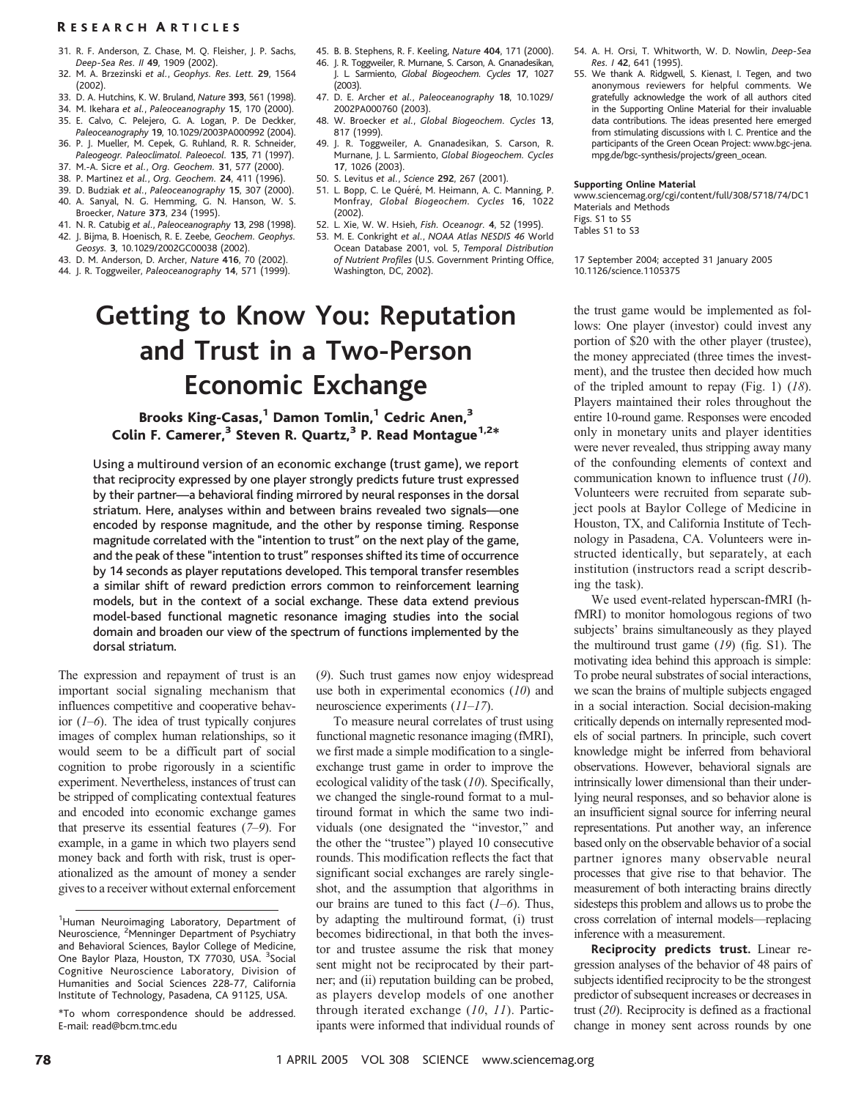- 31. R. F. Anderson, Z. Chase, M. Q. Fleisher, J. P. Sachs, Deep-Sea Res. II 49, 1909 (2002).
- 32. M. A. Brzezinski et al., Geophys. Res. Lett. 29, 1564 (2002).
- 33. D. A. Hutchins, K. W. Bruland, Nature 393, 561 (1998).
- 34. M. Ikehara et al., Paleoceanography 15, 170 (2000).
- 35. E. Calvo, C. Pelejero, G. A. Logan, P. De Deckker, Paleoceanography 19, 10.1029/2003PA000992 (2004).
- 36. P. J. Mueller, M. Cepek, G. Ruhland, R. R. Schneider, Paleogeogr. Paleoclimatol. Paleoecol. 135, 71 (1997).
- 37. M.-A. Sicre et al., Org. Geochem. 31, 577 (2000).
- 38. P. Martinez et al., Org. Geochem. 24, 411 (1996).
- 39. D. Budziak et al., Paleoceanography 15, 307 (2000). 40. A. Sanyal, N. G. Hemming, G. N. Hanson, W. S.
- Broecker, Nature 373, 234 (1995).
- 41. N. R. Catubig et al., Paleoceanography 13, 298 (1998). 42. J. Bijma, B. Hoenisch, R. E. Zeebe, Geochem. Geophys.
- Geosys. 3, 10.1029/2002GC00038 (2002).
- 43. D. M. Anderson, D. Archer, Nature 416, 70 (2002).
- 44. J. R. Toggweiler, Paleoceanography 14, 571 (1999).
- 45. B. B. Stephens, R. F. Keeling, Nature 404, 171 (2000).
- 46. J. R. Toggweiler, R. Murnane, S. Carson, A. Gnanadesikan, J. L. Sarmiento, Global Biogeochem. Cycles 17, 1027 (2003).
- 47. D. E. Archer et al., Paleoceanography 18, 10.1029/ 2002PA000760 (2003).
- 48. W. Broecker et al., Global Biogeochem. Cycles 13, 817 (1999).
- 49. J. R. Toggweiler, A. Gnanadesikan, S. Carson, R. Murnane, J. L. Sarmiento, Global Biogeochem. Cycles 17, 1026 (2003).
- 50. S. Levitus et al., Science 292, 267 (2001).
- 51. L. Bopp, C. Le Quéré, M. Heimann, A. C. Manning, P. Monfray, Global Biogeochem. Cycles 16, 1022 (2002).
- 52. L. Xie, W. W. Hsieh, Fish. Oceanogr. 4, 52 (1995).
- 53. M. E. Conkright et al., NOAA Atlas NESDIS 46 World Ocean Database 2001, vol. 5, Temporal Distribution of Nutrient Profiles (U.S. Government Printing Office, Washington, DC, 2002).

# Getting to Know You: Reputation and Trust in a Two-Person Economic Exchange

# Brooks King-Casas,<sup>1</sup> Damon Tomlin,<sup>1</sup> Cedric Anen,<sup>3</sup> Colin F. Camerer, $3$  Steven R. Quartz,  $3$  P. Read Montague<sup>1,2\*</sup>

Using a multiround version of an economic exchange (trust game), we report that reciprocity expressed by one player strongly predicts future trust expressed by their partner—a behavioral finding mirrored by neural responses in the dorsal striatum. Here, analyses within and between brains revealed two signals—one encoded by response magnitude, and the other by response timing. Response magnitude correlated with the ''intention to trust'' on the next play of the game, and the peak of these ''intention to trust'' responses shifted its time of occurrence by 14 seconds as player reputations developed. This temporal transfer resembles a similar shift of reward prediction errors common to reinforcement learning models, but in the context of a social exchange. These data extend previous model-based functional magnetic resonance imaging studies into the social domain and broaden our view of the spectrum of functions implemented by the dorsal striatum.

The expression and repayment of trust is an important social signaling mechanism that influences competitive and cooperative behavior  $(1-6)$ . The idea of trust typically conjures images of complex human relationships, so it would seem to be a difficult part of social cognition to probe rigorously in a scientific experiment. Nevertheless, instances of trust can be stripped of complicating contextual features and encoded into economic exchange games that preserve its essential features (7–9). For example, in a game in which two players send money back and forth with risk, trust is operationalized as the amount of money a sender gives to a receiver without external enforcement (9). Such trust games now enjoy widespread use both in experimental economics  $(10)$  and neuroscience experiments (11–17).

To measure neural correlates of trust using functional magnetic resonance imaging (fMRI), we first made a simple modification to a singleexchange trust game in order to improve the ecological validity of the task (10). Specifically, we changed the single-round format to a multiround format in which the same two individuals (one designated the "investor," and the other the "trustee") played 10 consecutive rounds. This modification reflects the fact that significant social exchanges are rarely singleshot, and the assumption that algorithms in our brains are tuned to this fact  $(1-6)$ . Thus, by adapting the multiround format, (i) trust becomes bidirectional, in that both the investor and trustee assume the risk that money sent might not be reciprocated by their partner; and (ii) reputation building can be probed, as players develop models of one another through iterated exchange (10, 11). Participants were informed that individual rounds of

- 54. A. H. Orsi, T. Whitworth, W. D. Nowlin, Deep-Sea Res. I 42, 641 (1995).
- 55. We thank A. Ridgwell, S. Kienast, I. Tegen, and two anonymous reviewers for helpful comments. We gratefully acknowledge the work of all authors cited in the Supporting Online Material for their invaluable data contributions. The ideas presented here emerged from stimulating discussions with I. C. Prentice and the participants of the Green Ocean Project: www.bgc-jena. mpg.de/bgc-synthesis/projects/green\_ocean.

#### Supporting Online Material

www.sciencemag.org/cgi/content/full/308/5718/74/DC1 Materials and Methods Figs. S1 to S5 Tables S1 to S3

17 September 2004; accepted 31 January 2005 10.1126/science.1105375

the trust game would be implemented as follows: One player (investor) could invest any portion of \$20 with the other player (trustee), the money appreciated (three times the investment), and the trustee then decided how much of the tripled amount to repay (Fig. 1)  $(18)$ . Players maintained their roles throughout the entire 10-round game. Responses were encoded only in monetary units and player identities were never revealed, thus stripping away many of the confounding elements of context and communication known to influence trust (10). Volunteers were recruited from separate subject pools at Baylor College of Medicine in Houston, TX, and California Institute of Technology in Pasadena, CA. Volunteers were instructed identically, but separately, at each institution (instructors read a script describing the task).

We used event-related hyperscan-fMRI (hfMRI) to monitor homologous regions of two subjects' brains simultaneously as they played the multiround trust game (19) (fig. S1). The motivating idea behind this approach is simple: To probe neural substrates of social interactions, we scan the brains of multiple subjects engaged in a social interaction. Social decision-making critically depends on internally represented models of social partners. In principle, such covert knowledge might be inferred from behavioral observations. However, behavioral signals are intrinsically lower dimensional than their underlying neural responses, and so behavior alone is an insufficient signal source for inferring neural representations. Put another way, an inference based only on the observable behavior of a social partner ignores many observable neural processes that give rise to that behavior. The measurement of both interacting brains directly sidesteps this problem and allows us to probe the cross correlation of internal models—replacing inference with a measurement.

Reciprocity predicts trust. Linear regression analyses of the behavior of 48 pairs of subjects identified reciprocity to be the strongest predictor of subsequent increases or decreases in trust (20). Reciprocity is defined as a fractional change in money sent across rounds by one

<sup>&</sup>lt;sup>1</sup>Human Neuroimaging Laboratory, Department of Neuroscience, <sup>2</sup>Menninger Department of Psychiatry and Behavioral Sciences, Baylor College of Medicine, One Baylor Plaza, Houston, TX 77030, USA. <sup>3</sup>Social Cognitive Neuroscience Laboratory, Division of Humanities and Social Sciences 228-77, California Institute of Technology, Pasadena, CA 91125, USA.

<sup>\*</sup>To whom correspondence should be addressed. E-mail: read@bcm.tmc.edu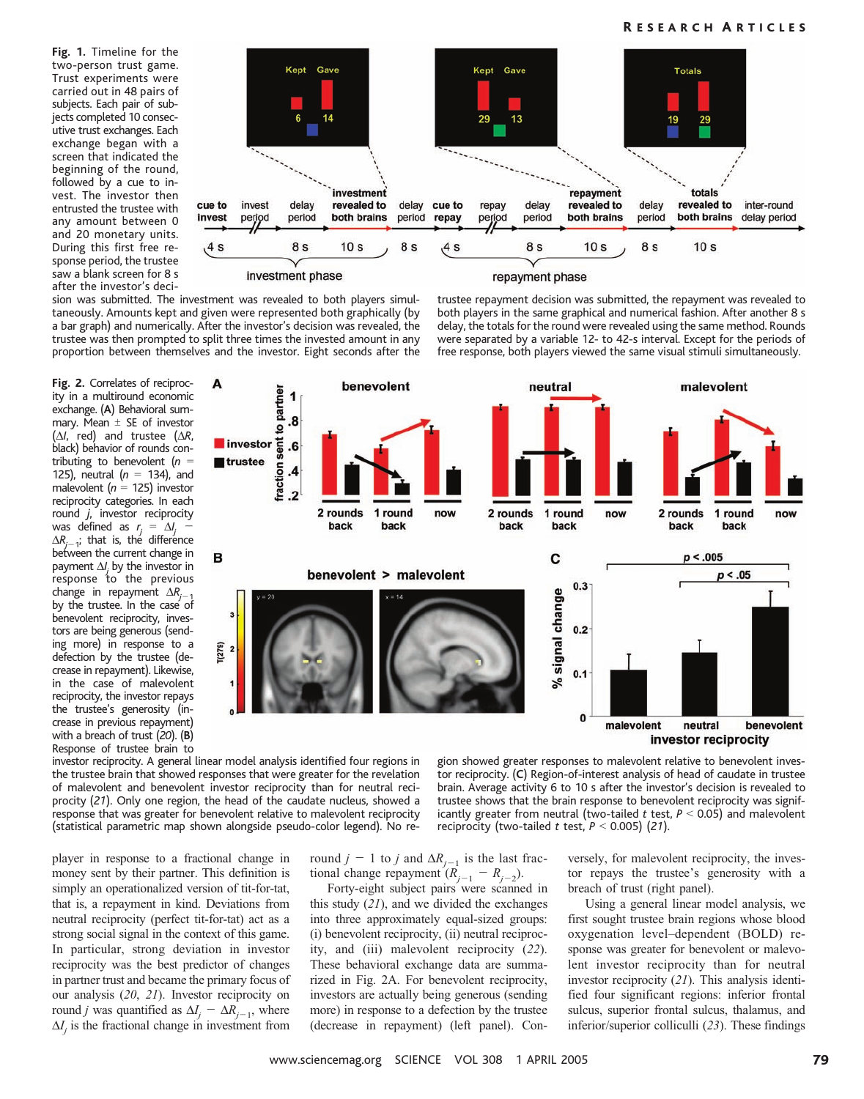Fig. 1. Timeline for the two-person trust game. Trust experiments were carried out in 48 pairs of subjects. Each pair of subjects completed 10 consecutive trust exchanges. Each exchange began with a screen that indicated the beginning of the round, followed by a cue to invest. The investor then entrusted the trustee with any amount between 0 and 20 monetary units. During this first free response period, the trustee saw a blank screen for 8 s after the investor's deci-



sion was submitted. The investment was revealed to both players simultaneously. Amounts kept and given were represented both graphically (by a bar graph) and numerically. After the investor's decision was revealed, the trustee was then prompted to split three times the invested amount in any proportion between themselves and the investor. Eight seconds after the trustee repayment decision was submitted, the repayment was revealed to both players in the same graphical and numerical fashion. After another 8 s delay, the totals for the round were revealed using the same method. Rounds were separated by a variable 12- to 42-s interval. Except for the periods of free response, both players viewed the same visual stimuli simultaneously.

Fig. 2. Correlates of reciprocity in a multiround economic exchange. (A) Behavioral summary. Mean  $\pm$  SE of investor  $(\Delta l,$  red) and trustee  $(\Delta R,$ black) behavior of rounds contributing to benevolent ( $n =$ 125), neutral  $(n = 134)$ , and malevolent ( $n = 125$ ) investor reciprocity categories. In each round j, investor reciprocity was defined as  $r_j = \Delta l_j$  –  $\Delta R_{j-\,1}^{\phantom i}$ ; that is, the difference between the current change in payment  $\Delta I_j$  by the investor in response to the previous change in repayment  $\Delta R_{i-1}$ by the trustee. In the case of benevolent reciprocity, investors are being generous (sending more) in response to a defection by the trustee (decrease in repayment). Likewise, in the case of malevolent reciprocity, the investor repays the trustee's generosity (increase in previous repayment) with a breach of trust (20). (B) Response of trustee brain to



investor reciprocity. A general linear model analysis identified four regions in the trustee brain that showed responses that were greater for the revelation of malevolent and benevolent investor reciprocity than for neutral reciprocity (21). Only one region, the head of the caudate nucleus, showed a response that was greater for benevolent relative to malevolent reciprocity (statistical parametric map shown alongside pseudo-color legend). No re-

player in response to a fractional change in money sent by their partner. This definition is simply an operationalized version of tit-for-tat, that is, a repayment in kind. Deviations from neutral reciprocity (perfect tit-for-tat) act as a strong social signal in the context of this game. In particular, strong deviation in investor reciprocity was the best predictor of changes in partner trust and became the primary focus of our analysis (20, 21). Investor reciprocity on round j was quantified as  $\Delta I_i - \Delta R_{i-1}$ , where  $\Delta I$  is the fractional change in investment from

round  $j - 1$  to j and  $\Delta R_{j-1}$  is the last fractional change repayment  $(R_{i-1} - R_{i-2})$ .

Forty-eight subject pairs were scanned in this study  $(21)$ , and we divided the exchanges into three approximately equal-sized groups: (i) benevolent reciprocity, (ii) neutral reciprocity, and (iii) malevolent reciprocity (22). These behavioral exchange data are summarized in Fig. 2A. For benevolent reciprocity, investors are actually being generous (sending more) in response to a defection by the trustee (decrease in repayment) (left panel). Con-

versely, for malevolent reciprocity, the investor repays the trustee's generosity with a reciprocity (two-tailed t test,  $P < 0.005$ ) (21).

tor reciprocity. (C) Region-of-interest analysis of head of caudate in trustee brain. Average activity 6 to 10 s after the investor's decision is revealed to trustee shows that the brain response to benevolent reciprocity was significantly greater from neutral (two-tailed t test,  $P < 0.05$ ) and malevolent

> breach of trust (right panel). Using a general linear model analysis, we first sought trustee brain regions whose blood oxygenation level–dependent (BOLD) response was greater for benevolent or malevolent investor reciprocity than for neutral investor reciprocity (21). This analysis identified four significant regions: inferior frontal sulcus, superior frontal sulcus, thalamus, and inferior/superior colliculli (23). These findings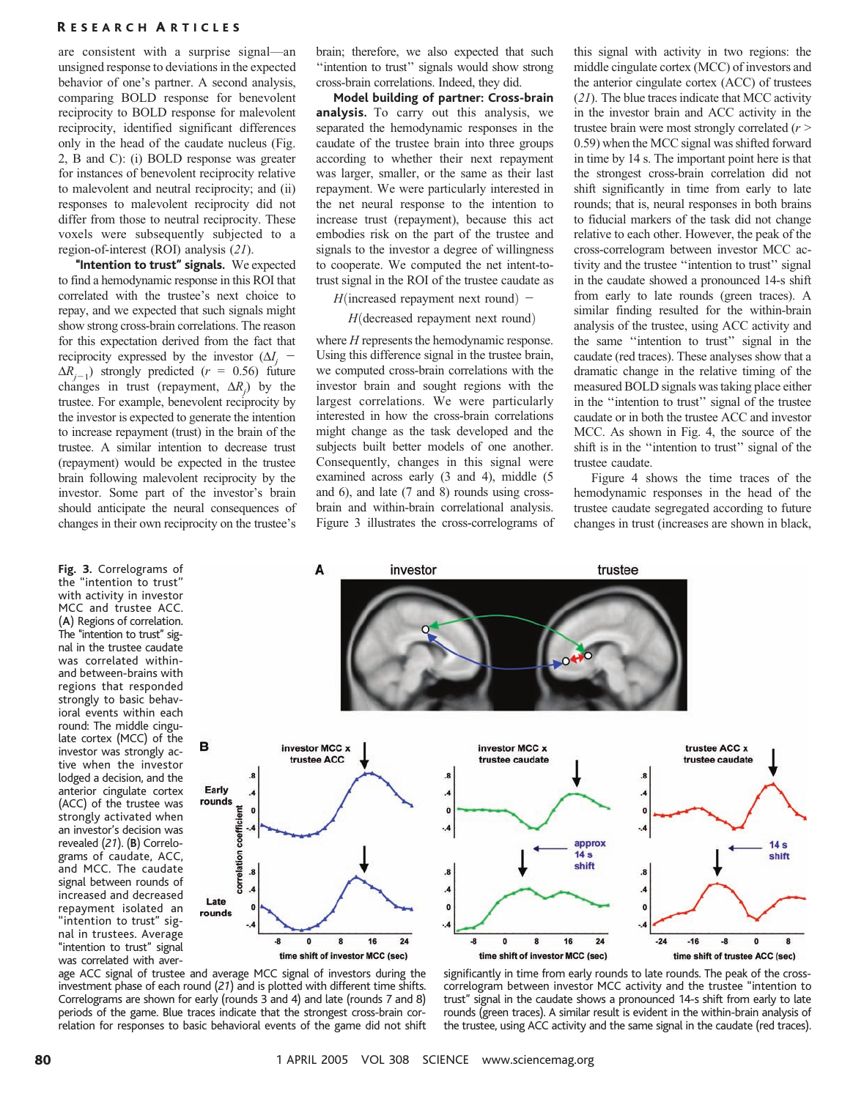are consistent with a surprise signal—an unsigned response to deviations in the expected behavior of one's partner. A second analysis, comparing BOLD response for benevolent reciprocity to BOLD response for malevolent reciprocity, identified significant differences only in the head of the caudate nucleus (Fig. 2, B and C): (i) BOLD response was greater for instances of benevolent reciprocity relative to malevolent and neutral reciprocity; and (ii) responses to malevolent reciprocity did not differ from those to neutral reciprocity. These voxels were subsequently subjected to a region-of-interest (ROI) analysis (21).

"Intention to trust" signals. We expected to find a hemodynamic response in this ROI that correlated with the trustee's next choice to repay, and we expected that such signals might show strong cross-brain correlations. The reason for this expectation derived from the fact that reciprocity expressed by the investor  $(\Delta I_i$  –  $\Delta R_{j-1}$ ) strongly predicted ( $r = 0.56$ ) future changes in trust (repayment,  $\Delta R_j$ ) by the trustee. For example, benevolent reciprocity by the investor is expected to generate the intention to increase repayment (trust) in the brain of the trustee. A similar intention to decrease trust (repayment) would be expected in the trustee brain following malevolent reciprocity by the investor. Some part of the investor's brain should anticipate the neural consequences of changes in their own reciprocity on the trustee's

Fig. 3. Correlograms of the ''intention to trust'' with activity in investor MCC and trustee ACC. (A) Regions of correlation. The "intention to trust" signal in the trustee caudate was correlated withinand between-brains with regions that responded strongly to basic behavioral events within each round: The middle cingulate cortex (MCC) of the investor was strongly active when the investor lodged a decision, and the anterior cingulate cortex (ACC) of the trustee was strongly activated when an investor's decision was revealed (21). (B) Correlograms of caudate, ACC, and MCC. The caudate signal between rounds of increased and decreased repayment isolated an ''intention to trust'' signal in trustees. Average "intention to trust" signal was correlated with aver-

B

brain; therefore, we also expected that such "intention to trust" signals would show strong cross-brain correlations. Indeed, they did.

Model building of partner: Cross-brain analysis. To carry out this analysis, we separated the hemodynamic responses in the caudate of the trustee brain into three groups according to whether their next repayment was larger, smaller, or the same as their last repayment. We were particularly interested in the net neural response to the intention to increase trust (repayment), because this act embodies risk on the part of the trustee and signals to the investor a degree of willingness to cooperate. We computed the net intent-totrust signal in the ROI of the trustee caudate as

 $H$ (increased repayment next round) –

 $H$ (decreased repayment next round)

where *H* represents the hemodynamic response. Using this difference signal in the trustee brain, we computed cross-brain correlations with the investor brain and sought regions with the largest correlations. We were particularly interested in how the cross-brain correlations might change as the task developed and the subjects built better models of one another. Consequently, changes in this signal were examined across early (3 and 4), middle (5 and 6), and late (7 and 8) rounds using crossbrain and within-brain correlational analysis. Figure 3 illustrates the cross-correlograms of

this signal with activity in two regions: the middle cingulate cortex (MCC) of investors and the anterior cingulate cortex (ACC) of trustees (21). The blue traces indicate that MCC activity in the investor brain and ACC activity in the trustee brain were most strongly correlated  $(r >$ 0.59) when the MCC signal was shifted forward in time by 14 s. The important point here is that the strongest cross-brain correlation did not shift significantly in time from early to late rounds; that is, neural responses in both brains to fiducial markers of the task did not change relative to each other. However, the peak of the cross-correlogram between investor MCC activity and the trustee ''intention to trust'' signal in the caudate showed a pronounced 14-s shift from early to late rounds (green traces). A similar finding resulted for the within-brain analysis of the trustee, using ACC activity and the same ''intention to trust'' signal in the caudate (red traces). These analyses show that a dramatic change in the relative timing of the measured BOLD signals was taking place either in the ''intention to trust'' signal of the trustee caudate or in both the trustee ACC and investor MCC. As shown in Fig. 4, the source of the shift is in the ''intention to trust'' signal of the trustee caudate.

Figure 4 shows the time traces of the hemodynamic responses in the head of the trustee caudate segregated according to future changes in trust (increases are shown in black,



age ACC signal of trustee and average MCC signal of investors during the investment phase of each round (21) and is plotted with different time shifts. Correlograms are shown for early (rounds 3 and 4) and late (rounds 7 and 8) periods of the game. Blue traces indicate that the strongest cross-brain correlation for responses to basic behavioral events of the game did not shift significantly in time from early rounds to late rounds. The peak of the crosscorrelogram between investor MCC activity and the trustee ''intention to trust'' signal in the caudate shows a pronounced 14-s shift from early to late rounds (green traces). A similar result is evident in the within-brain analysis of the trustee, using ACC activity and the same signal in the caudate (red traces).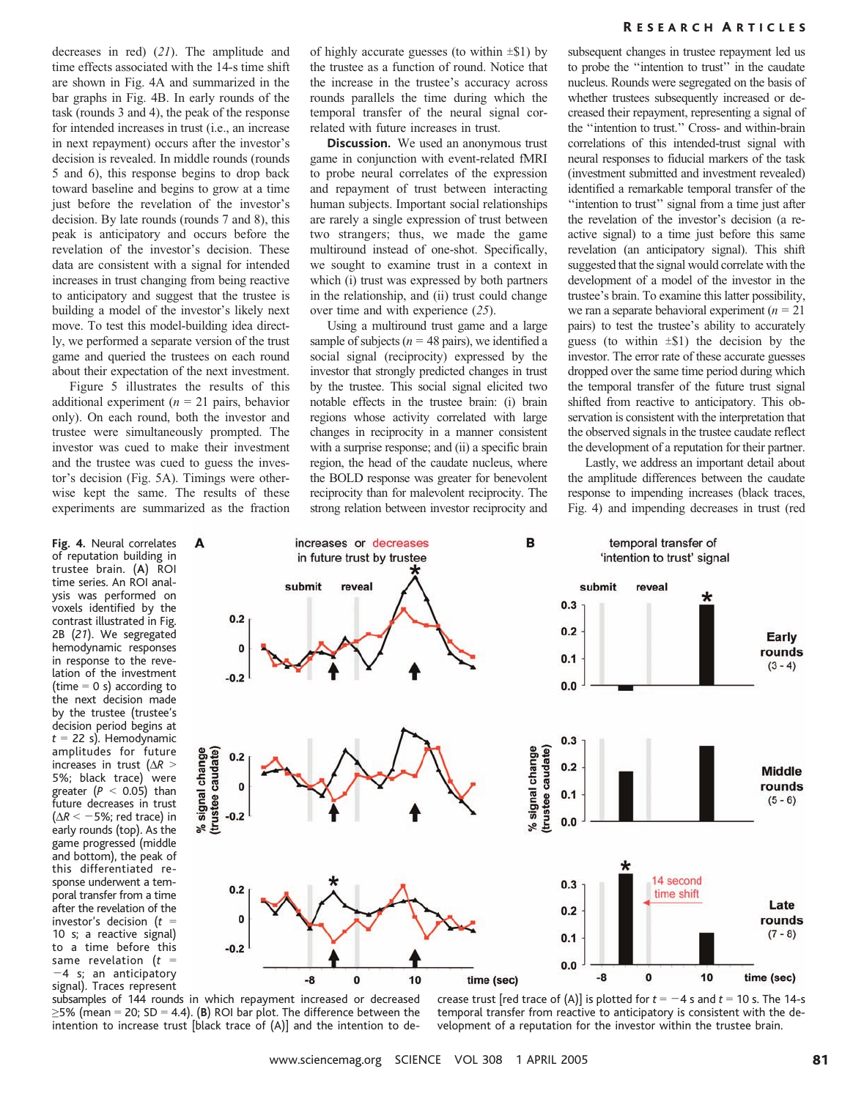decreases in red) (21). The amplitude and time effects associated with the 14-s time shift are shown in Fig. 4A and summarized in the bar graphs in Fig. 4B. In early rounds of the task (rounds 3 and 4), the peak of the response for intended increases in trust (i.e., an increase in next repayment) occurs after the investor's decision is revealed. In middle rounds (rounds 5 and 6), this response begins to drop back toward baseline and begins to grow at a time just before the revelation of the investor's decision. By late rounds (rounds 7 and 8), this peak is anticipatory and occurs before the revelation of the investor's decision. These data are consistent with a signal for intended increases in trust changing from being reactive to anticipatory and suggest that the trustee is building a model of the investor's likely next move. To test this model-building idea directly, we performed a separate version of the trust game and queried the trustees on each round about their expectation of the next investment.

Figure 5 illustrates the results of this additional experiment ( $n = 21$  pairs, behavior only). On each round, both the investor and trustee were simultaneously prompted. The investor was cued to make their investment and the trustee was cued to guess the investor's decision (Fig. 5A). Timings were otherwise kept the same. The results of these experiments are summarized as the fraction

A

signal change

Fig. 4. Neural correlates of reputation building in trustee brain. (A) ROI time series. An ROI analysis was performed on voxels identified by the contrast illustrated in Fig. 2B (21). We segregated hemodynamic responses in response to the revelation of the investment (time  $= 0$  s) according to the next decision made by the trustee (trustee's decision period begins at  $t = 22$  s). Hemodynamic amplitudes for future increases in trust ( $\Delta R >$ 5%; black trace) were greater  $(P < 0.05)$  than future decreases in trust  $(\Delta R < -5\%;$  red trace) in early rounds (top). As the game progressed (middle and bottom), the peak of this differentiated response underwent a temporal transfer from a time after the revelation of the investor's decision ( $t =$ 10 s; a reactive signal) to a time before this same revelation ( $t =$  $-4$  s; an anticipatory signal). Traces represent of highly accurate guesses (to within  $\pm$ \$1) by the trustee as a function of round. Notice that the increase in the trustee's accuracy across rounds parallels the time during which the temporal transfer of the neural signal correlated with future increases in trust.

**Discussion.** We used an anonymous trust game in conjunction with event-related fMRI to probe neural correlates of the expression and repayment of trust between interacting human subjects. Important social relationships are rarely a single expression of trust between two strangers; thus, we made the game multiround instead of one-shot. Specifically, we sought to examine trust in a context in which (i) trust was expressed by both partners in the relationship, and (ii) trust could change over time and with experience (25).

Using a multiround trust game and a large sample of subjects ( $n = 48$  pairs), we identified a social signal (reciprocity) expressed by the investor that strongly predicted changes in trust by the trustee. This social signal elicited two notable effects in the trustee brain: (i) brain regions whose activity correlated with large changes in reciprocity in a manner consistent with a surprise response; and (ii) a specific brain region, the head of the caudate nucleus, where the BOLD response was greater for benevolent reciprocity than for malevolent reciprocity. The strong relation between investor reciprocity and

subsequent changes in trustee repayment led us to probe the ''intention to trust'' in the caudate nucleus. Rounds were segregated on the basis of whether trustees subsequently increased or decreased their repayment, representing a signal of the ''intention to trust.'' Cross- and within-brain correlations of this intended-trust signal with neural responses to fiducial markers of the task (investment submitted and investment revealed) identified a remarkable temporal transfer of the "intention to trust" signal from a time just after the revelation of the investor's decision (a reactive signal) to a time just before this same revelation (an anticipatory signal). This shift suggested that the signal would correlate with the development of a model of the investor in the trustee's brain. To examine this latter possibility, we ran a separate behavioral experiment ( $n = 21$ ) pairs) to test the trustee's ability to accurately guess (to within  $\pm$ \$1) the decision by the investor. The error rate of these accurate guesses dropped over the same time period during which the temporal transfer of the future trust signal shifted from reactive to anticipatory. This observation is consistent with the interpretation that the observed signals in the trustee caudate reflect the development of a reputation for their partner.

Lastly, we address an important detail about the amplitude differences between the caudate response to impending increases (black traces, Fig. 4) and impending decreases in trust (red



subsamples of 144 rounds in which repayment increased or decreased  $\geq$ 5% (mean = 20; SD = 4.4). (B) ROI bar plot. The difference between the intention to increase trust [black trace of (A)] and the intention to decrease trust [red trace of (A)] is plotted for  $t = -4$  s and  $t = 10$  s. The 14-s temporal transfer from reactive to anticipatory is consistent with the development of a reputation for the investor within the trustee brain.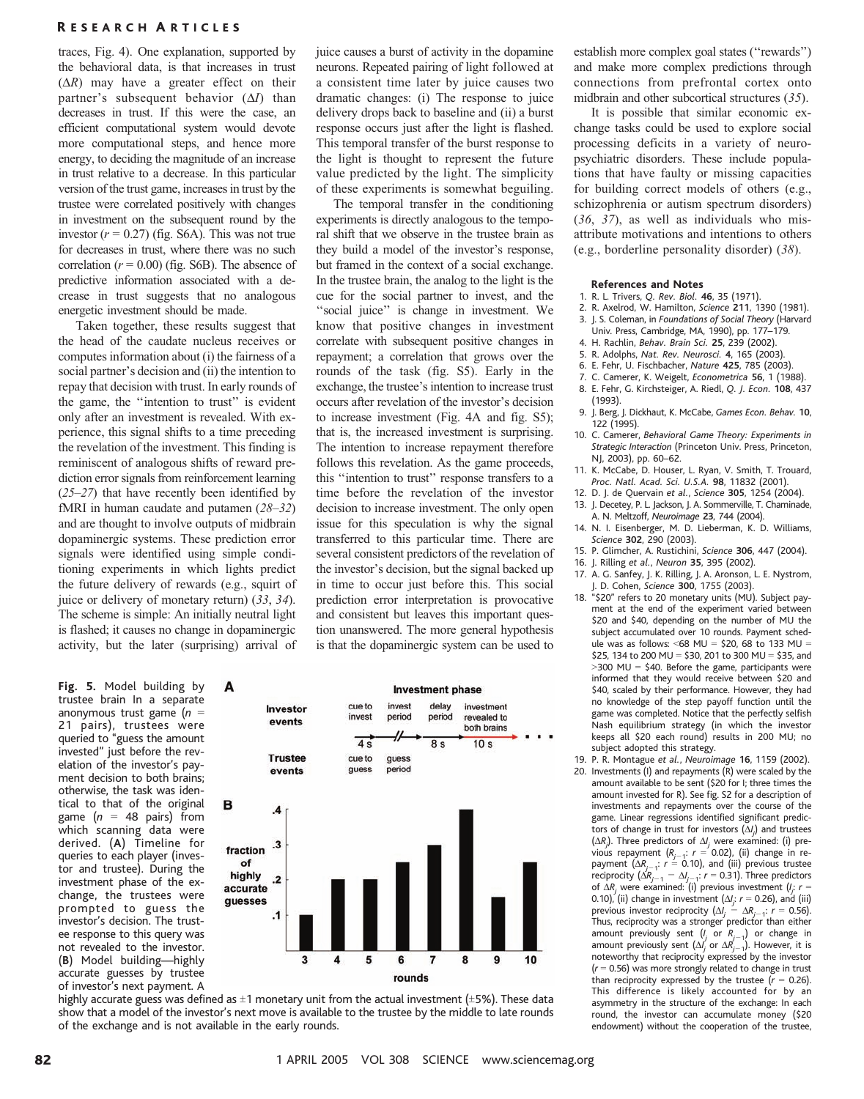traces, Fig. 4). One explanation, supported by the behavioral data, is that increases in trust  $(\Delta R)$  may have a greater effect on their partner's subsequent behavior  $(\Delta I)$  than decreases in trust. If this were the case, an efficient computational system would devote more computational steps, and hence more energy, to deciding the magnitude of an increase in trust relative to a decrease. In this particular version of the trust game, increases in trust by the trustee were correlated positively with changes in investment on the subsequent round by the investor  $(r = 0.27)$  (fig. S6A). This was not true for decreases in trust, where there was no such correlation  $(r = 0.00)$  (fig. S6B). The absence of predictive information associated with a decrease in trust suggests that no analogous energetic investment should be made.

Taken together, these results suggest that the head of the caudate nucleus receives or computes information about (i) the fairness of a social partner's decision and (ii) the intention to repay that decision with trust. In early rounds of the game, the ''intention to trust'' is evident only after an investment is revealed. With experience, this signal shifts to a time preceding the revelation of the investment. This finding is reminiscent of analogous shifts of reward prediction error signals from reinforcement learning (25–27) that have recently been identified by fMRI in human caudate and putamen (28–32) and are thought to involve outputs of midbrain dopaminergic systems. These prediction error signals were identified using simple conditioning experiments in which lights predict the future delivery of rewards (e.g., squirt of juice or delivery of monetary return) (33, 34). The scheme is simple: An initially neutral light is flashed; it causes no change in dopaminergic activity, but the later (surprising) arrival of

Fig. 5. Model building by trustee brain In a separate anonymous trust game  $(n =$ 21 pairs), trustees were queried to ''guess the amount invested'' just before the revelation of the investor's payment decision to both brains; otherwise, the task was identical to that of the original game ( $n = 48$  pairs) from which scanning data were derived. (A) Timeline for queries to each player (investor and trustee). During the investment phase of the exchange, the trustees were prompted to guess the investor's decision. The trustee response to this query was not revealed to the investor. (B) Model building—highly accurate guesses by trustee of investor's next payment. A juice causes a burst of activity in the dopamine neurons. Repeated pairing of light followed at a consistent time later by juice causes two dramatic changes: (i) The response to juice delivery drops back to baseline and (ii) a burst response occurs just after the light is flashed. This temporal transfer of the burst response to the light is thought to represent the future value predicted by the light. The simplicity of these experiments is somewhat beguiling.

The temporal transfer in the conditioning experiments is directly analogous to the temporal shift that we observe in the trustee brain as they build a model of the investor's response, but framed in the context of a social exchange. In the trustee brain, the analog to the light is the cue for the social partner to invest, and the ''social juice'' is change in investment. We know that positive changes in investment correlate with subsequent positive changes in repayment; a correlation that grows over the rounds of the task (fig. S5). Early in the exchange, the trustee's intention to increase trust occurs after revelation of the investor's decision to increase investment (Fig. 4A and fig. S5); that is, the increased investment is surprising. The intention to increase repayment therefore follows this revelation. As the game proceeds, this ''intention to trust'' response transfers to a time before the revelation of the investor decision to increase investment. The only open issue for this speculation is why the signal transferred to this particular time. There are several consistent predictors of the revelation of the investor's decision, but the signal backed up in time to occur just before this. This social prediction error interpretation is provocative and consistent but leaves this important question unanswered. The more general hypothesis is that the dopaminergic system can be used to



highly accurate guess was defined as  $\pm 1$  monetary unit from the actual investment ( $\pm 5$ %). These data show that a model of the investor's next move is available to the trustee by the middle to late rounds of the exchange and is not available in the early rounds.

establish more complex goal states (''rewards'') and make more complex predictions through connections from prefrontal cortex onto midbrain and other subcortical structures (35).

It is possible that similar economic exchange tasks could be used to explore social processing deficits in a variety of neuropsychiatric disorders. These include populations that have faulty or missing capacities for building correct models of others (e.g., schizophrenia or autism spectrum disorders) (36, 37), as well as individuals who misattribute motivations and intentions to others (e.g., borderline personality disorder) (38).

#### References and Notes

- 1. R. L. Trivers, Q. Rev. Biol. 46, 35 (1971).
- 2. R. Axelrod, W. Hamilton, Science 211, 1390 (1981).
- 3. J. S. Coleman, in Foundations of Social Theory (Harvard Univ. Press, Cambridge, MA, 1990), pp. 177–179.
- 4. H. Rachlin, Behav. Brain Sci. 25, 239 (2002).
- 5. R. Adolphs, Nat. Rev. Neurosci. 4, 165 (2003).
- 6. E. Fehr, U. Fischbacher, Nature 425, 785 (2003).
- 7. C. Camerer, K. Weigelt, Econometrica 56, 1 (1988). 8. E. Fehr, G. Kirchsteiger, A. Riedl, Q. J. Econ. 108, 437
- (1993).
- 9. J. Berg, J. Dickhaut, K. McCabe, Games Econ. Behav. 10, 122 (1995).
- 10. C. Camerer, Behavioral Game Theory: Experiments in Strategic Interaction (Princeton Univ. Press, Princeton, NJ, 2003), pp. 60–62.
- 11. K. McCabe, D. Houser, L. Ryan, V. Smith, T. Trouard, Proc. Natl. Acad. Sci. U.S.A. 98, 11832 (2001).
- 12. D. J. de Quervain et al., Science 305, 1254 (2004). 13. J. Decetey, P. L. Jackson, J. A. Sommerville, T. Chaminade,
- A. N. Meltzoff, Neuroimage 23, 744 (2004). 14. N. I. Eisenberger, M. D. Lieberman, K. D. Williams,
- Science 302, 290 (2003).
- 15. P. Glimcher, A. Rustichini, Science 306, 447 (2004).
- 16. J. Rilling et al., Neuron 35, 395 (2002).
- 17. A. G. Sanfey, J. K. Rilling, J. A. Aronson, L. E. Nystrom, J. D. Cohen, Science 300, 1755 (2003).
- 18. ''\$20'' refers to 20 monetary units (MU). Subject payment at the end of the experiment varied between \$20 and \$40, depending on the number of MU the subject accumulated over 10 rounds. Payment schedule was as follows: <68 MU = \$20, 68 to 133 MU = \$25, 134 to 200 MU = \$30, 201 to 300 MU = \$35, and  $>$ 300 MU = \$40. Before the game, participants were informed that they would receive between \$20 and \$40, scaled by their performance. However, they had no knowledge of the step payoff function until the game was completed. Notice that the perfectly selfish Nash equilibrium strategy (in which the investor keeps all \$20 each round) results in 200 MU; no subject adopted this strategy.
- 19. P. R. Montague et al., Neuroimage 16, 1159 (2002).
- 20. Investments (I) and repayments (R) were scaled by the amount available to be sent (\$20 for I; three times the amount invested for R). See fig. S2 for a description of investments and repayments over the course of the game. Linear regressions identified significant predictors of change in trust for investors  $(\Delta\prime_j)$  and trustees ( $\Delta R_j$ ). Three predictors of  $\Delta l_j$  were examined: (i) previous repayment (R<sub>j-1</sub>: r = 0.02), (ii) change in re-<br>payment (ΔR<sub>j-1</sub>: r = 0.10), and (iii) previous trustee<br>reciprocity (ΔR<sub>j-1</sub> - Δ/<sub>j-1</sub>: r = 0.31). Three predictors of  $\Delta R_j$  were examined: (i) previous investment ( $l_j$ :  $r =$ 0.10), (ii) change in investment  $(\Delta f, r = 0.26)$ , and (iii)<br>previous investor reciprocity  $(\Delta f, r = 0.86)$ , and (iii) Thus, reciprocity was a stronger predictor than either amount previously sent  $(l_j \text{ or } R_{j-1})$  or change in amount previously sent  $(\Delta l_j \text{ or } \Delta R_{j-1})$ . However, it is noteworthy that reciprocity expressed by the investor  $(r = 0.56)$  was more strongly related to change in trust than reciprocity expressed by the trustee  $(r = 0.26)$ . This difference is likely accounted for by an asymmetry in the structure of the exchange: In each round, the investor can accumulate money (\$20 endowment) without the cooperation of the trustee,